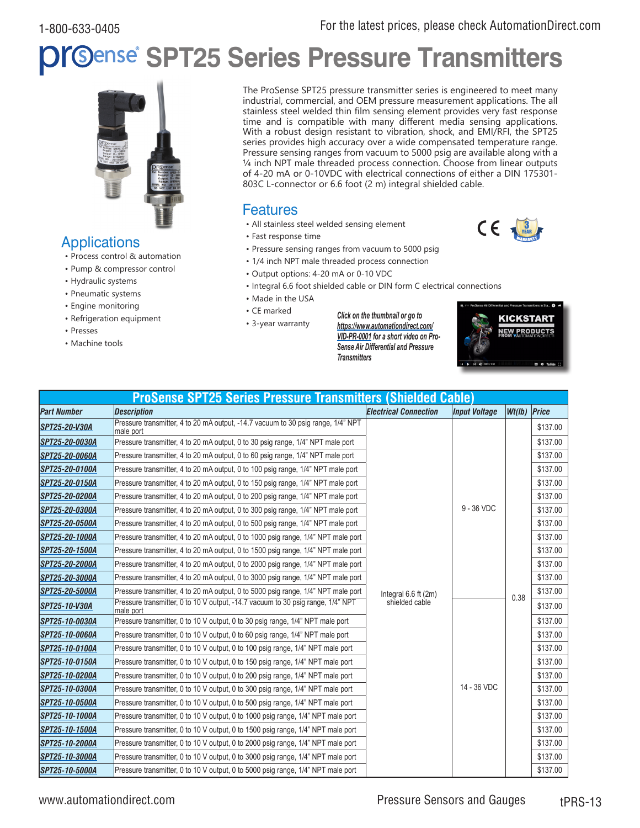# **SPT25 Series Pressure Transmitters**



**Applications** 

- Process control & automation
- Pump & compressor control
- Hydraulic systems
- Pneumatic systems
- Engine monitoring
- Refrigeration equipment
- Presses
- Machine tools

The ProSense SPT25 pressure transmitter series is engineered to meet many industrial, commercial, and OEM pressure measurement applications. The all stainless steel welded thin film sensing element provides very fast response time and is compatible with many different media sensing applications. With a robust design resistant to vibration, shock, and EMI/RFI, the SPT25 series provides high accuracy over a wide compensated temperature range. Pressure sensing ranges from vacuum to 5000 psig are available along with a ¼ inch NPT male threaded process connection. Choose from linear outputs of 4-20 mA or 0-10VDC with electrical connections of either a DIN 175301- 803C L-connector or 6.6 foot (2 m) integral shielded cable.

### Features

- All stainless steel welded sensing element
- Fast response time
- Pressure sensing ranges from vacuum to 5000 psig
- 1/4 inch NPT male threaded process connection
- Output options: 4-20 mA or 0-10 VDC
- Integral 6.6 foot shielded cable or DIN form C electrical connections
- Made in the USA
- CE marked
- 3-year warranty

*Click on the thumbnail or go to [https://www.automationdirect.com/](https://www.automationdirect.com/VID-PR-0001) [VID-P](https://www.automationdirect.com/VID-PR-0001)R-0001 for a short video on Pro-Sense Air Differential and Pressure Transmitters*



3 YEAR

CE

| <b>ProSense SPT25 Series Pressure Transmitters (Shielded Cable)</b> |                                                                                               |                                        |                      |              |          |
|---------------------------------------------------------------------|-----------------------------------------------------------------------------------------------|----------------------------------------|----------------------|--------------|----------|
| <b>Part Number</b>                                                  | <b>Description</b>                                                                            | <b>Electrical Connection</b>           | <b>Input Voltage</b> | Wt(Ib) Price |          |
| SPT25-20-V30A                                                       | Pressure transmitter, 4 to 20 mA output, -14.7 vacuum to 30 psig range, 1/4" NPT<br>male port |                                        |                      |              | \$137.00 |
| SPT25-20-0030A                                                      | Pressure transmitter, 4 to 20 mA output, 0 to 30 psig range, 1/4" NPT male port               |                                        |                      |              | \$137.00 |
| SPT25-20-0060A                                                      | Pressure transmitter, 4 to 20 mA output, 0 to 60 psig range, 1/4" NPT male port               |                                        |                      |              | \$137.00 |
| SPT25-20-0100A                                                      | Pressure transmitter, 4 to 20 mA output, 0 to 100 psig range, 1/4" NPT male port              |                                        |                      |              | \$137.00 |
| SPT25-20-0150A                                                      | Pressure transmitter, 4 to 20 mA output, 0 to 150 psig range, 1/4" NPT male port              |                                        |                      |              | \$137.00 |
| SPT25-20-0200A                                                      | Pressure transmitter, 4 to 20 mA output, 0 to 200 psig range, 1/4" NPT male port              |                                        |                      |              | \$137.00 |
| SPT25-20-0300A                                                      | Pressure transmitter, 4 to 20 mA output, 0 to 300 psig range, 1/4" NPT male port              |                                        | $9 - 36$ VDC         |              | \$137.00 |
| SPT25-20-0500A                                                      | Pressure transmitter, 4 to 20 mA output, 0 to 500 psig range, 1/4" NPT male port              |                                        |                      |              | \$137.00 |
| SPT25-20-1000A                                                      | Pressure transmitter, 4 to 20 mA output, 0 to 1000 psig range, 1/4" NPT male port             |                                        |                      |              | \$137.00 |
| SPT25-20-1500A                                                      | Pressure transmitter, 4 to 20 mA output, 0 to 1500 psig range, 1/4" NPT male port             |                                        |                      |              | \$137.00 |
| SPT25-20-2000A                                                      | Pressure transmitter, 4 to 20 mA output, 0 to 2000 psig range, 1/4" NPT male port             |                                        |                      |              | \$137.00 |
| SPT25-20-3000A                                                      | Pressure transmitter, 4 to 20 mA output, 0 to 3000 psig range, 1/4" NPT male port             |                                        |                      |              | \$137.00 |
| SPT25-20-5000A                                                      | Pressure transmitter, 4 to 20 mA output, 0 to 5000 psig range, 1/4" NPT male port             | Integral 6.6 ft (2m)<br>shielded cable |                      | 0.38         | \$137.00 |
| SPT25-10-V30A                                                       | Pressure transmitter, 0 to 10 V output, -14.7 vacuum to 30 psig range, 1/4" NPT<br>male port  |                                        |                      |              | \$137.00 |
| SPT25-10-0030A                                                      | Pressure transmitter, 0 to 10 V output, 0 to 30 psig range, 1/4" NPT male port                |                                        |                      |              | \$137.00 |
| ISPT25-10-0060A                                                     | Pressure transmitter, 0 to 10 V output, 0 to 60 psig range, 1/4" NPT male port                |                                        |                      |              | \$137.00 |
| SPT25-10-0100A                                                      | Pressure transmitter, 0 to 10 V output, 0 to 100 psig range, 1/4" NPT male port               |                                        |                      |              | \$137.00 |
| SPT25-10-0150A                                                      | Pressure transmitter, 0 to 10 V output, 0 to 150 psig range, 1/4" NPT male port               |                                        |                      |              | \$137.00 |
| SPT25-10-0200A                                                      | Pressure transmitter, 0 to 10 V output, 0 to 200 psig range, 1/4" NPT male port               |                                        |                      |              | \$137.00 |
| SPT25-10-0300A                                                      | Pressure transmitter, 0 to 10 V output, 0 to 300 psig range, 1/4" NPT male port               |                                        | 14 - 36 VDC          |              | \$137.00 |
| SPT25-10-0500A                                                      | Pressure transmitter, 0 to 10 V output, 0 to 500 psig range, 1/4" NPT male port               |                                        |                      |              | \$137.00 |
| SPT25-10-1000A                                                      | Pressure transmitter, 0 to 10 V output, 0 to 1000 psig range, 1/4" NPT male port              |                                        |                      |              | \$137.00 |
| SPT25-10-1500A                                                      | Pressure transmitter, 0 to 10 V output, 0 to 1500 psig range, 1/4" NPT male port              |                                        |                      |              | \$137.00 |
| SPT25-10-2000A                                                      | Pressure transmitter, 0 to 10 V output, 0 to 2000 psig range, 1/4" NPT male port              |                                        |                      |              | \$137.00 |
| ISPT25-10-3000A                                                     | Pressure transmitter, 0 to 10 V output, 0 to 3000 psig range, 1/4" NPT male port              |                                        |                      |              | \$137.00 |
| SPT25-10-5000A                                                      | Pressure transmitter, 0 to 10 V output, 0 to 5000 psig range, 1/4" NPT male port              |                                        |                      |              | \$137.00 |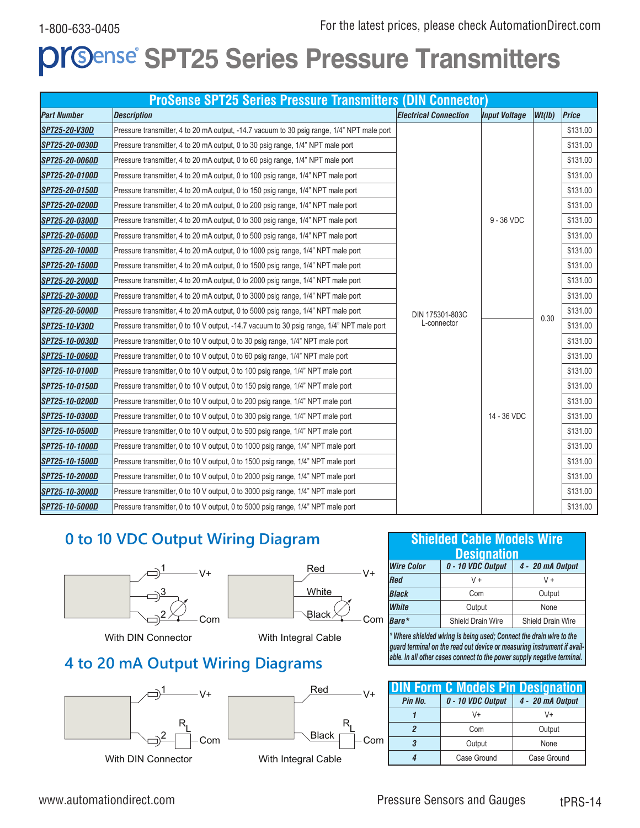# **PrGense SPT25 Series Pressure Transmitters**

|                      | <b>ProSense SPT25 Series Pressure Transmitters (DIN Connector)</b>                         |                              |                      |        |          |
|----------------------|--------------------------------------------------------------------------------------------|------------------------------|----------------------|--------|----------|
| <b>Part Number</b>   | <b>Description</b>                                                                         | <b>Electrical Connection</b> | <b>Input Voltage</b> | Wt(lb) | Price    |
| <b>SPT25-20-V30D</b> | Pressure transmitter, 4 to 20 mA output, -14.7 vacuum to 30 psig range, 1/4" NPT male port |                              |                      |        | \$131.00 |
| SPT25-20-0030D       | Pressure transmitter, 4 to 20 mA output, 0 to 30 psig range, 1/4" NPT male port            |                              |                      |        | \$131.00 |
| SPT25-20-0060D       | Pressure transmitter, 4 to 20 mA output, 0 to 60 psig range, 1/4" NPT male port            |                              |                      |        | \$131.00 |
| SPT25-20-0100D       | Pressure transmitter, 4 to 20 mA output, 0 to 100 psig range, 1/4" NPT male port           |                              |                      |        | \$131.00 |
| SPT25-20-0150D       | Pressure transmitter, 4 to 20 mA output, 0 to 150 psig range, 1/4" NPT male port           |                              |                      |        | \$131.00 |
| SPT25-20-0200D       | Pressure transmitter, 4 to 20 mA output, 0 to 200 psig range, 1/4" NPT male port           |                              |                      |        | \$131.00 |
| SPT25-20-0300D       | Pressure transmitter, 4 to 20 mA output, 0 to 300 psig range, 1/4" NPT male port           |                              | $9 - 36$ VDC         |        | \$131.00 |
| SPT25-20-0500D       | Pressure transmitter, 4 to 20 mA output, 0 to 500 psig range, 1/4" NPT male port           |                              |                      |        | \$131.00 |
| SPT25-20-1000D       | Pressure transmitter, 4 to 20 mA output, 0 to 1000 psig range, 1/4" NPT male port          |                              |                      |        | \$131.00 |
| SPT25-20-1500D       | Pressure transmitter, 4 to 20 mA output, 0 to 1500 psig range, 1/4" NPT male port          |                              |                      |        | \$131.00 |
| SPT25-20-2000D       | Pressure transmitter, 4 to 20 mA output, 0 to 2000 psig range, 1/4" NPT male port          |                              |                      |        | \$131.00 |
| SPT25-20-3000D       | Pressure transmitter, 4 to 20 mA output, 0 to 3000 psig range, 1/4" NPT male port          |                              |                      |        | \$131.00 |
| SPT25-20-5000D       | Pressure transmitter, 4 to 20 mA output, 0 to 5000 psig range, 1/4" NPT male port          | DIN 175301-803C              |                      | 0.30   | \$131.00 |
| <b>SPT25-10-V30D</b> | Pressure transmitter, 0 to 10 V output, -14.7 vacuum to 30 psig range, 1/4" NPT male port  | L-connector                  |                      |        | \$131.00 |
| SPT25-10-0030D       | Pressure transmitter, 0 to 10 V output, 0 to 30 psig range, 1/4" NPT male port             |                              |                      |        | \$131.00 |
| SPT25-10-0060D       | Pressure transmitter, 0 to 10 V output, 0 to 60 psig range, 1/4" NPT male port             |                              |                      |        | \$131.00 |
| SPT25-10-0100D       | Pressure transmitter, 0 to 10 V output, 0 to 100 psig range, 1/4" NPT male port            |                              |                      |        | \$131.00 |
| SPT25-10-0150D       | Pressure transmitter, 0 to 10 V output, 0 to 150 psig range, 1/4" NPT male port            |                              |                      |        | \$131.00 |
| SPT25-10-0200D       | Pressure transmitter, 0 to 10 V output, 0 to 200 psig range, 1/4" NPT male port            |                              |                      |        | \$131.00 |
| SPT25-10-0300D       | Pressure transmitter, 0 to 10 V output, 0 to 300 psig range, 1/4" NPT male port            |                              | 14 - 36 VDC          |        | \$131.00 |
| SPT25-10-0500D       | Pressure transmitter, 0 to 10 V output, 0 to 500 psig range, 1/4" NPT male port            |                              |                      |        | \$131.00 |
| SPT25-10-1000D       | Pressure transmitter, 0 to 10 V output, 0 to 1000 psig range, 1/4" NPT male port           |                              |                      |        | \$131.00 |
| SPT25-10-1500D       | Pressure transmitter, 0 to 10 V output, 0 to 1500 psig range, 1/4" NPT male port           |                              |                      |        | \$131.00 |
| SPT25-10-2000D       | Pressure transmitter, 0 to 10 V output, 0 to 2000 psig range, 1/4" NPT male port           |                              |                      |        | \$131.00 |
| SPT25-10-3000D       | Pressure transmitter, 0 to 10 V output, 0 to 3000 psig range, 1/4" NPT male port           |                              |                      |        | \$131.00 |
| SPT25-10-5000D       | Pressure transmitter, 0 to 10 V output, 0 to 5000 psig range, 1/4" NPT male port           |                              |                      |        | \$131.00 |

## **0 to 10 VDC Output Wiring Diagram**



With DIN Connector



## **4 to 20 mA Output Wiring Diagrams**



| <b>Shielded Cable Models Wire</b><br><b>Designation</b>    |                   |                   |  |  |
|------------------------------------------------------------|-------------------|-------------------|--|--|
| 0 - 10 VDC Output<br><b>Wire Color</b><br>4 - 20 mA Output |                   |                   |  |  |
| Red                                                        | $V +$             | $V +$             |  |  |
| <b>Black</b>                                               | Com               | Output            |  |  |
| <b>White</b>                                               | Output            | None              |  |  |
| Bare*                                                      | Shield Drain Wire | Shield Drain Wire |  |  |

*\* Where shielded wiring is being used; Connect the drain wire to the guard terminal on the read out device or measuring instrument if available. In all other cases connect to the power supply negative terminal.*

| <b>DIN Form C Models Pin Designation</b> |             |                  |  |
|------------------------------------------|-------------|------------------|--|
| 0 - 10 VDC Output<br>Pin No.             |             | 4 - 20 mA Output |  |
|                                          | V+          | $V_{+}$          |  |
| 2                                        | Com         | Output           |  |
| 3                                        | Output      | None             |  |
|                                          | Case Ground | Case Ground      |  |